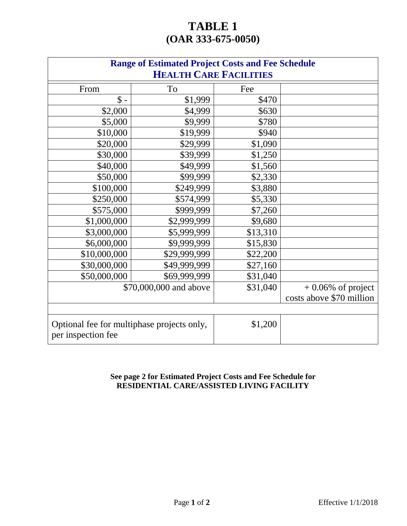## **TABLE 1 (OAR 333-675-0050)**

| <b>Range of Estimated Project Costs and Fee Schedule</b>         |                        |          |                          |  |
|------------------------------------------------------------------|------------------------|----------|--------------------------|--|
| <b>HEALTH CARE FACILITIES</b>                                    |                        |          |                          |  |
| From                                                             | To                     | Fee      |                          |  |
| $\$ -                                                            | \$1,999                | \$470    |                          |  |
| \$2,000                                                          | \$4,999                | \$630    |                          |  |
| \$5,000                                                          | \$9,999                | \$780    |                          |  |
| \$10,000                                                         | \$19,999               | \$940    |                          |  |
| \$20,000                                                         | \$29,999               | \$1,090  |                          |  |
| \$30,000                                                         | \$39,999               | \$1,250  |                          |  |
| \$40,000                                                         | \$49,999               | \$1,560  |                          |  |
| \$50,000                                                         | \$99,999               | \$2,330  |                          |  |
| \$100,000                                                        | \$249,999              | \$3,880  |                          |  |
| \$250,000                                                        | \$574,999              | \$5,330  |                          |  |
| \$575,000                                                        | \$999,999              | \$7,260  |                          |  |
| \$1,000,000                                                      | \$2,999,999            | \$9,680  |                          |  |
| \$3,000,000                                                      | \$5,999,999            | \$13,310 |                          |  |
| \$6,000,000                                                      | \$9,999,999            | \$15,830 |                          |  |
| \$10,000,000                                                     | \$29,999,999           | \$22,200 |                          |  |
| \$30,000,000                                                     | \$49,999,999           | \$27,160 |                          |  |
| \$50,000,000                                                     | \$69,999,999           | \$31,040 |                          |  |
|                                                                  | \$70,000,000 and above | \$31,040 | $+0.06\%$ of project     |  |
|                                                                  |                        |          | costs above \$70 million |  |
|                                                                  |                        |          |                          |  |
| Optional fee for multiphase projects only,<br>per inspection fee |                        | \$1,200  |                          |  |

## **See page 2 for Estimated Project Costs and Fee Schedule for RESIDENTIAL CARE/ASSISTED LIVING FACILITY**